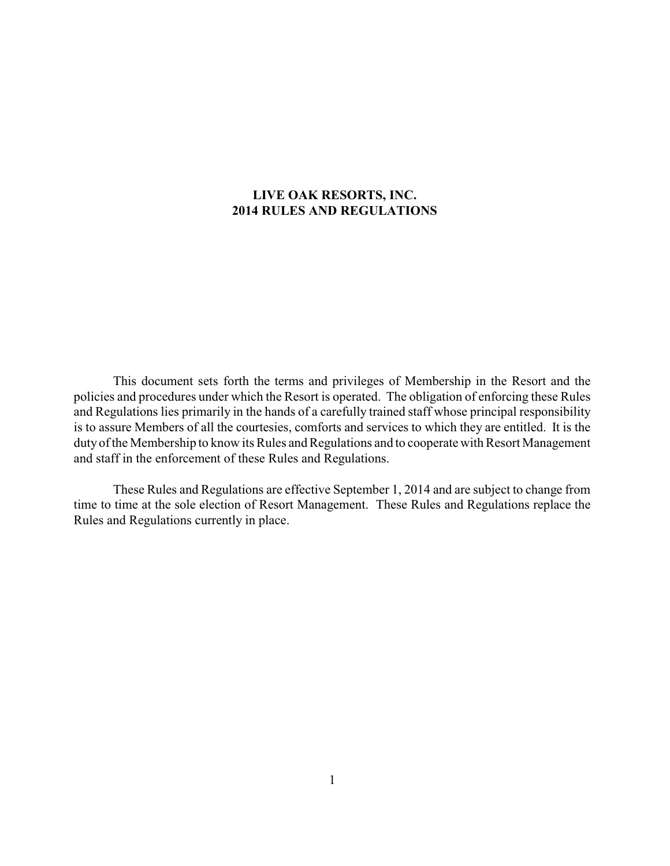### **LIVE OAK RESORTS, INC. 2014 RULES AND REGULATIONS**

This document sets forth the terms and privileges of Membership in the Resort and the policies and procedures under which the Resort is operated. The obligation of enforcing these Rules and Regulations lies primarily in the hands of a carefully trained staff whose principal responsibility is to assure Members of all the courtesies, comforts and services to which they are entitled. It is the duty of the Membership to know its Rules and Regulations and to cooperate with Resort Management and staff in the enforcement of these Rules and Regulations.

These Rules and Regulations are effective September 1, 2014 and are subject to change from time to time at the sole election of Resort Management. These Rules and Regulations replace the Rules and Regulations currently in place.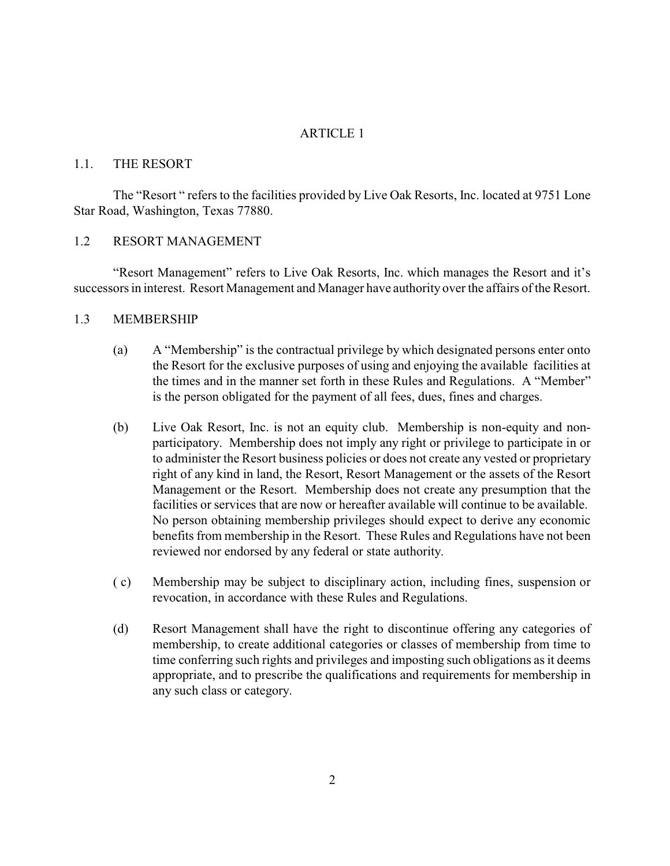#### ARTICLE 1

#### 1.1. THE RESORT

The "Resort " refers to the facilities provided by Live Oak Resorts, Inc. located at 9751 Lone Star Road, Washington, Texas 77880.

### 1.2 RESORT MANAGEMENT

"Resort Management" refers to Live Oak Resorts, Inc. which manages the Resort and it's successors in interest. Resort Management and Manager have authority over the affairs of the Resort.

#### 1.3 MEMBERSHIP

- (a) A "Membership" is the contractual privilege by which designated persons enter onto the Resort for the exclusive purposes of using and enjoying the available facilities at the times and in the manner set forth in these Rules and Regulations. A "Member" is the person obligated for the payment of all fees, dues, fines and charges.
- (b) Live Oak Resort, Inc. is not an equity club. Membership is non-equity and nonparticipatory. Membership does not imply any right or privilege to participate in or to administer the Resort business policies or does not create any vested or proprietary right of any kind in land, the Resort, Resort Management or the assets of the Resort Management or the Resort. Membership does not create any presumption that the facilities or services that are now or hereafter available will continue to be available. No person obtaining membership privileges should expect to derive any economic benefits from membership in the Resort. These Rules and Regulations have not been reviewed nor endorsed by any federal or state authority.
- ( c) Membership may be subject to disciplinary action, including fines, suspension or revocation, in accordance with these Rules and Regulations.
- (d) Resort Management shall have the right to discontinue offering any categories of membership, to create additional categories or classes of membership from time to time conferring such rights and privileges and imposting such obligations as it deems appropriate, and to prescribe the qualifications and requirements for membership in any such class or category.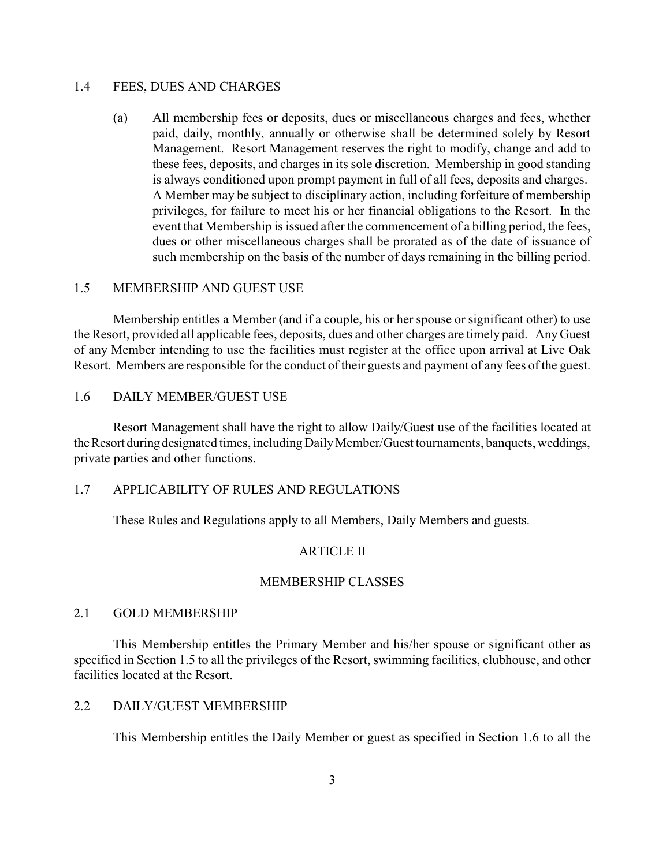#### 1.4 FEES, DUES AND CHARGES

(a) All membership fees or deposits, dues or miscellaneous charges and fees, whether paid, daily, monthly, annually or otherwise shall be determined solely by Resort Management. Resort Management reserves the right to modify, change and add to these fees, deposits, and charges in its sole discretion. Membership in good standing is always conditioned upon prompt payment in full of all fees, deposits and charges. A Member may be subject to disciplinary action, including forfeiture of membership privileges, for failure to meet his or her financial obligations to the Resort. In the event that Membership is issued after the commencement of a billing period, the fees, dues or other miscellaneous charges shall be prorated as of the date of issuance of such membership on the basis of the number of days remaining in the billing period.

#### 1.5 MEMBERSHIP AND GUEST USE

Membership entitles a Member (and if a couple, his or her spouse or significant other) to use the Resort, provided all applicable fees, deposits, dues and other charges are timely paid. AnyGuest of any Member intending to use the facilities must register at the office upon arrival at Live Oak Resort. Members are responsible for the conduct of their guests and payment of any fees of the guest.

### 1.6 DAILY MEMBER/GUEST USE

Resort Management shall have the right to allow Daily/Guest use of the facilities located at the Resort during designated times, including Daily Member/Guest tournaments, banquets, weddings, private parties and other functions.

### 1.7 APPLICABILITY OF RULES AND REGULATIONS

These Rules and Regulations apply to all Members, Daily Members and guests.

#### ARTICLE II

#### MEMBERSHIP CLASSES

### 2.1 GOLD MEMBERSHIP

This Membership entitles the Primary Member and his/her spouse or significant other as specified in Section 1.5 to all the privileges of the Resort, swimming facilities, clubhouse, and other facilities located at the Resort.

### 2.2 DAILY/GUEST MEMBERSHIP

This Membership entitles the Daily Member or guest as specified in Section 1.6 to all the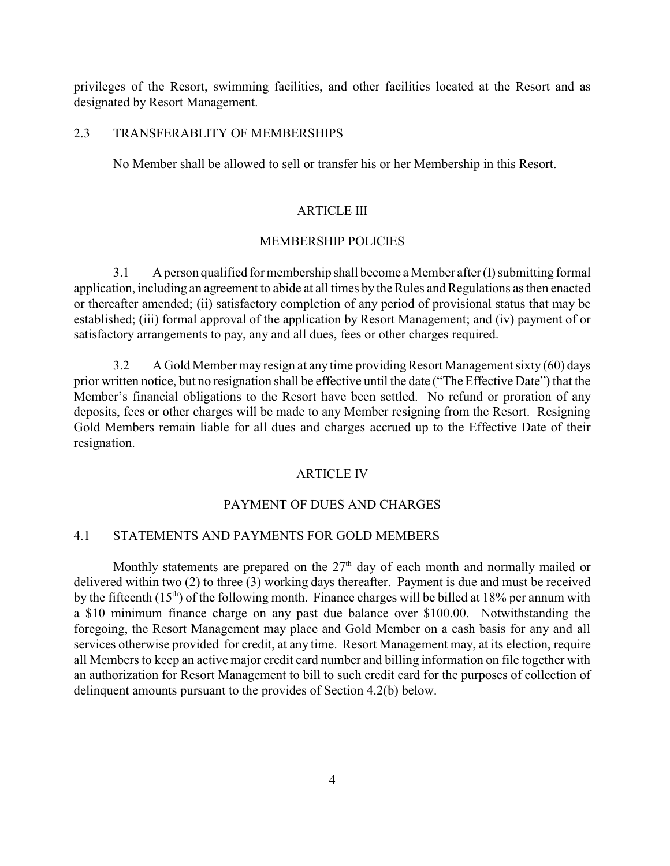privileges of the Resort, swimming facilities, and other facilities located at the Resort and as designated by Resort Management.

### 2.3 TRANSFERABLITY OF MEMBERSHIPS

No Member shall be allowed to sell or transfer his or her Membership in this Resort.

### ARTICLE III

### MEMBERSHIP POLICIES

3.1 A person qualified for membership shall become a Member after (I) submitting formal application, including an agreement to abide at all times by the Rules and Regulations as then enacted or thereafter amended; (ii) satisfactory completion of any period of provisional status that may be established; (iii) formal approval of the application by Resort Management; and (iv) payment of or satisfactory arrangements to pay, any and all dues, fees or other charges required.

3.2 A Gold Member may resign at any time providingResort Management sixty (60) days prior written notice, but no resignation shall be effective until the date ("The Effective Date") that the Member's financial obligations to the Resort have been settled. No refund or proration of any deposits, fees or other charges will be made to any Member resigning from the Resort. Resigning Gold Members remain liable for all dues and charges accrued up to the Effective Date of their resignation.

#### ARTICLE IV

#### PAYMENT OF DUES AND CHARGES

#### 4.1 STATEMENTS AND PAYMENTS FOR GOLD MEMBERS

Monthly statements are prepared on the  $27<sup>th</sup>$  day of each month and normally mailed or delivered within two (2) to three (3) working days thereafter. Payment is due and must be received by the fifteenth  $(15<sup>th</sup>)$  of the following month. Finance charges will be billed at 18% per annum with a \$10 minimum finance charge on any past due balance over \$100.00. Notwithstanding the foregoing, the Resort Management may place and Gold Member on a cash basis for any and all services otherwise provided for credit, at any time. Resort Management may, at its election, require all Members to keep an active major credit card number and billing information on file together with an authorization for Resort Management to bill to such credit card for the purposes of collection of delinquent amounts pursuant to the provides of Section 4.2(b) below.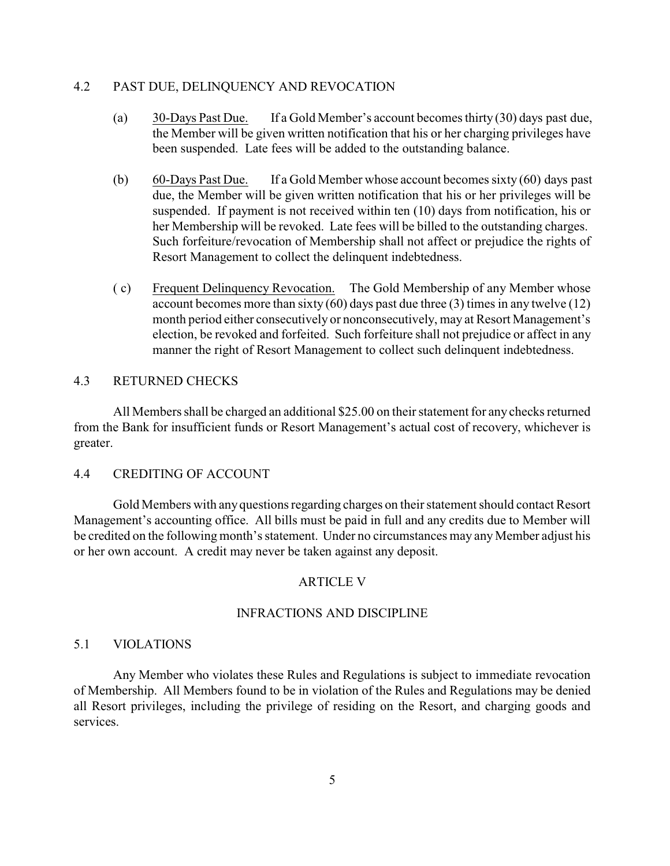### 4.2 PAST DUE, DELINQUENCY AND REVOCATION

- (a) 30-Days Past Due. If a Gold Member's account becomes thirty (30) days past due, the Member will be given written notification that his or her charging privileges have been suspended. Late fees will be added to the outstanding balance.
- (b) 60-Days Past Due. If a Gold Member whose account becomes sixty (60) days past due, the Member will be given written notification that his or her privileges will be suspended. If payment is not received within ten (10) days from notification, his or her Membership will be revoked. Late fees will be billed to the outstanding charges. Such forfeiture/revocation of Membership shall not affect or prejudice the rights of Resort Management to collect the delinquent indebtedness.
- ( c) Frequent Delinquency Revocation. The Gold Membership of any Member whose account becomes more than sixty  $(60)$  days past due three  $(3)$  times in any twelve  $(12)$ month period either consecutively or nonconsecutively, may at Resort Management's election, be revoked and forfeited. Such forfeiture shall not prejudice or affect in any manner the right of Resort Management to collect such delinquent indebtedness.

### 4.3 RETURNED CHECKS

All Members shall be charged an additional \$25.00 on their statement for any checks returned from the Bank for insufficient funds or Resort Management's actual cost of recovery, whichever is greater.

#### 4.4 CREDITING OF ACCOUNT

Gold Members with anyquestions regarding charges on their statement should contact Resort Management's accounting office. All bills must be paid in full and any credits due to Member will be credited on the following month's statement. Under no circumstances may any Member adjust his or her own account. A credit may never be taken against any deposit.

#### ARTICLE V

### INFRACTIONS AND DISCIPLINE

#### 5.1 VIOLATIONS

Any Member who violates these Rules and Regulations is subject to immediate revocation of Membership. All Members found to be in violation of the Rules and Regulations may be denied all Resort privileges, including the privilege of residing on the Resort, and charging goods and services.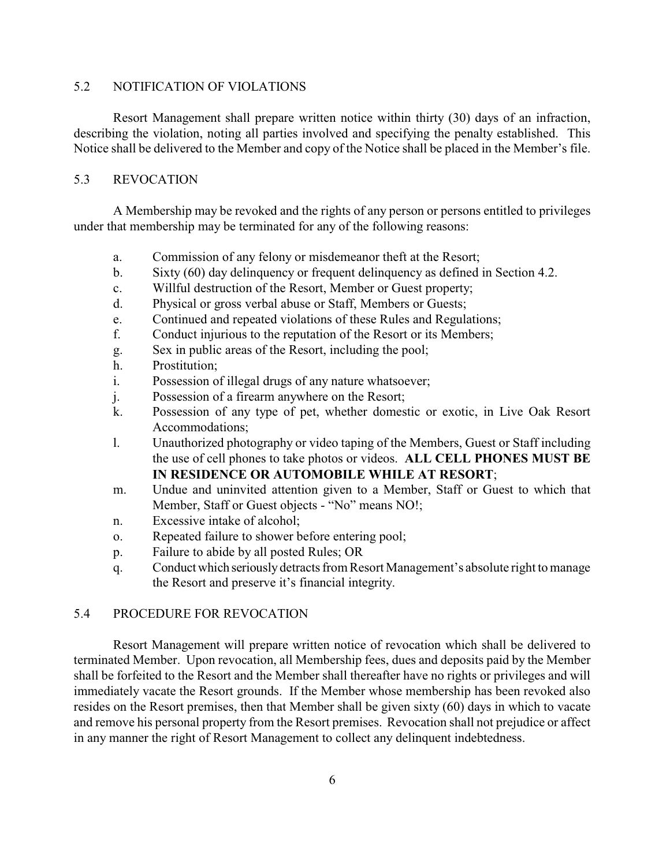### 5.2 NOTIFICATION OF VIOLATIONS

Resort Management shall prepare written notice within thirty (30) days of an infraction, describing the violation, noting all parties involved and specifying the penalty established. This Notice shall be delivered to the Member and copy of the Notice shall be placed in the Member's file.

### 5.3 REVOCATION

A Membership may be revoked and the rights of any person or persons entitled to privileges under that membership may be terminated for any of the following reasons:

- a. Commission of any felony or misdemeanor theft at the Resort;
- b. Sixty (60) day delinquency or frequent delinquency as defined in Section 4.2.
- c. Willful destruction of the Resort, Member or Guest property;
- d. Physical or gross verbal abuse or Staff, Members or Guests;
- e. Continued and repeated violations of these Rules and Regulations;
- f. Conduct injurious to the reputation of the Resort or its Members;
- g. Sex in public areas of the Resort, including the pool;
- h. Prostitution;
- i. Possession of illegal drugs of any nature whatsoever;
- j. Possession of a firearm anywhere on the Resort;
- k. Possession of any type of pet, whether domestic or exotic, in Live Oak Resort Accommodations;
- l. Unauthorized photography or video taping of the Members, Guest or Staff including the use of cell phones to take photos or videos. **ALL CELL PHONES MUST BE IN RESIDENCE OR AUTOMOBILE WHILE AT RESORT**;
- m. Undue and uninvited attention given to a Member, Staff or Guest to which that Member, Staff or Guest objects - "No" means NO!;
- n. Excessive intake of alcohol;
- o. Repeated failure to shower before entering pool;
- p. Failure to abide by all posted Rules; OR
- q. Conduct which seriouslydetracts from Resort Management's absolute right to manage the Resort and preserve it's financial integrity.

### 5.4 PROCEDURE FOR REVOCATION

Resort Management will prepare written notice of revocation which shall be delivered to terminated Member. Upon revocation, all Membership fees, dues and deposits paid by the Member shall be forfeited to the Resort and the Member shall thereafter have no rights or privileges and will immediately vacate the Resort grounds. If the Member whose membership has been revoked also resides on the Resort premises, then that Member shall be given sixty (60) days in which to vacate and remove his personal property from the Resort premises. Revocation shall not prejudice or affect in any manner the right of Resort Management to collect any delinquent indebtedness.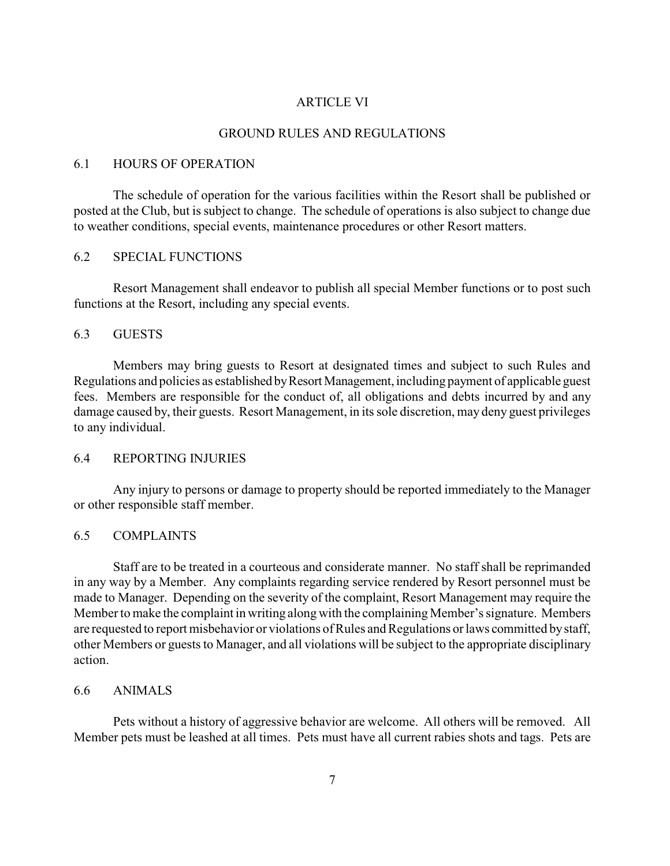#### ARTICLE VI

### GROUND RULES AND REGULATIONS

#### 6.1 HOURS OF OPERATION

The schedule of operation for the various facilities within the Resort shall be published or posted at the Club, but is subject to change. The schedule of operations is also subject to change due to weather conditions, special events, maintenance procedures or other Resort matters.

#### 6.2 SPECIAL FUNCTIONS

Resort Management shall endeavor to publish all special Member functions or to post such functions at the Resort, including any special events.

#### 6.3 GUESTS

Members may bring guests to Resort at designated times and subject to such Rules and Regulations and policies as established by Resort Management, including payment of applicable guest fees. Members are responsible for the conduct of, all obligations and debts incurred by and any damage caused by, their guests. Resort Management, in its sole discretion, may deny guest privileges to any individual.

### 6.4 REPORTING INJURIES

Any injury to persons or damage to property should be reported immediately to the Manager or other responsible staff member.

### 6.5 COMPLAINTS

Staff are to be treated in a courteous and considerate manner. No staff shall be reprimanded in any way by a Member. Any complaints regarding service rendered by Resort personnel must be made to Manager. Depending on the severity of the complaint, Resort Management may require the Member to make the complaint in writing along with the complaining Member's signature. Members are requested to report misbehavior or violations of Rules and Regulations or laws committed bystaff, other Members or guests to Manager, and all violations will be subject to the appropriate disciplinary action.

#### 6.6 ANIMALS

Pets without a history of aggressive behavior are welcome. All others will be removed. All Member pets must be leashed at all times. Pets must have all current rabies shots and tags. Pets are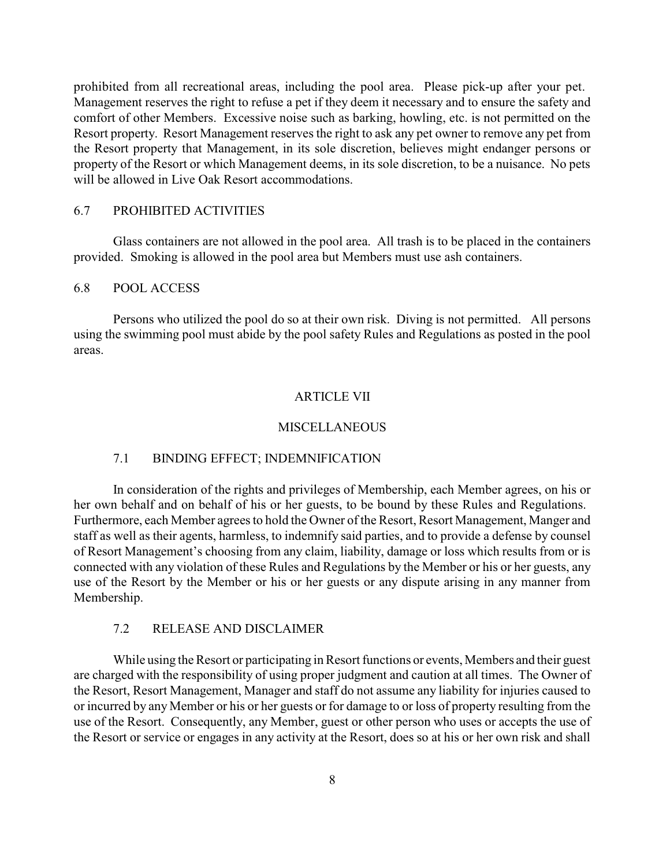prohibited from all recreational areas, including the pool area. Please pick-up after your pet. Management reserves the right to refuse a pet if they deem it necessary and to ensure the safety and comfort of other Members. Excessive noise such as barking, howling, etc. is not permitted on the Resort property. Resort Management reserves the right to ask any pet owner to remove any pet from the Resort property that Management, in its sole discretion, believes might endanger persons or property of the Resort or which Management deems, in its sole discretion, to be a nuisance. No pets will be allowed in Live Oak Resort accommodations.

### 6.7 PROHIBITED ACTIVITIES

Glass containers are not allowed in the pool area. All trash is to be placed in the containers provided. Smoking is allowed in the pool area but Members must use ash containers.

#### 6.8 POOL ACCESS

Persons who utilized the pool do so at their own risk. Diving is not permitted. All persons using the swimming pool must abide by the pool safety Rules and Regulations as posted in the pool areas.

#### ARTICLE VII

#### **MISCELLANEOUS**

#### 7.1 BINDING EFFECT; INDEMNIFICATION

In consideration of the rights and privileges of Membership, each Member agrees, on his or her own behalf and on behalf of his or her guests, to be bound by these Rules and Regulations. Furthermore, each Member agrees to hold the Owner of the Resort, Resort Management, Manger and staff as well as their agents, harmless, to indemnify said parties, and to provide a defense by counsel of Resort Management's choosing from any claim, liability, damage or loss which results from or is connected with any violation of these Rules and Regulations by the Member or his or her guests, any use of the Resort by the Member or his or her guests or any dispute arising in any manner from Membership.

### 7.2 RELEASE AND DISCLAIMER

While using the Resort or participating in Resort functions or events, Members and their guest are charged with the responsibility of using proper judgment and caution at all times. The Owner of the Resort, Resort Management, Manager and staff do not assume any liability for injuries caused to or incurred by any Member or his or her guests or for damage to or loss of property resulting from the use of the Resort. Consequently, any Member, guest or other person who uses or accepts the use of the Resort or service or engages in any activity at the Resort, does so at his or her own risk and shall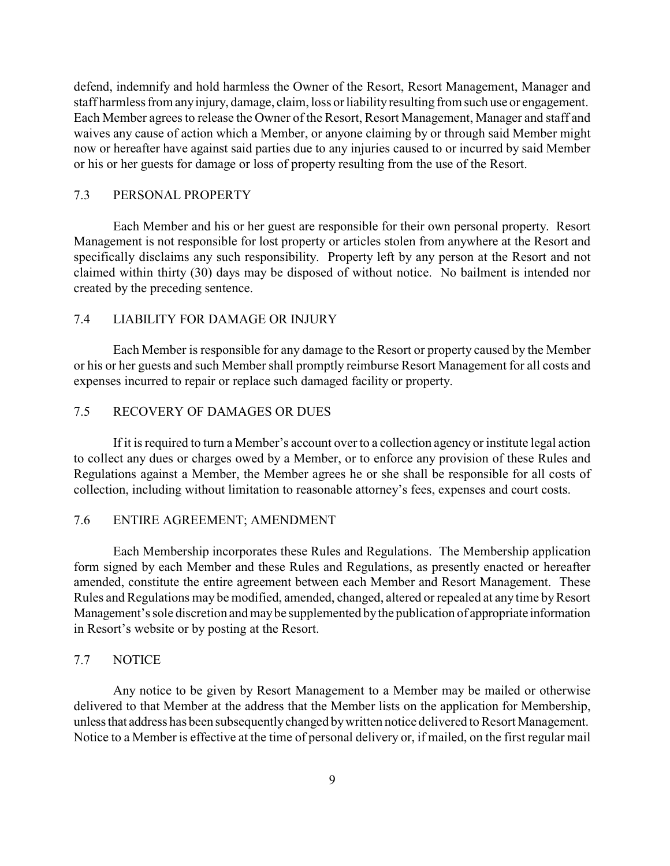defend, indemnify and hold harmless the Owner of the Resort, Resort Management, Manager and staff harmless from anyinjury, damage, claim, loss or liability resulting from such use or engagement. Each Member agrees to release the Owner of the Resort, Resort Management, Manager and staff and waives any cause of action which a Member, or anyone claiming by or through said Member might now or hereafter have against said parties due to any injuries caused to or incurred by said Member or his or her guests for damage or loss of property resulting from the use of the Resort.

### 7.3 PERSONAL PROPERTY

Each Member and his or her guest are responsible for their own personal property. Resort Management is not responsible for lost property or articles stolen from anywhere at the Resort and specifically disclaims any such responsibility. Property left by any person at the Resort and not claimed within thirty (30) days may be disposed of without notice. No bailment is intended nor created by the preceding sentence.

### 7.4 LIABILITY FOR DAMAGE OR INJURY

Each Member is responsible for any damage to the Resort or property caused by the Member or his or her guests and such Member shall promptly reimburse Resort Management for all costs and expenses incurred to repair or replace such damaged facility or property.

### 7.5 RECOVERY OF DAMAGES OR DUES

If it is required to turn a Member's account over to a collection agency or institute legal action to collect any dues or charges owed by a Member, or to enforce any provision of these Rules and Regulations against a Member, the Member agrees he or she shall be responsible for all costs of collection, including without limitation to reasonable attorney's fees, expenses and court costs.

### 7.6 ENTIRE AGREEMENT; AMENDMENT

Each Membership incorporates these Rules and Regulations. The Membership application form signed by each Member and these Rules and Regulations, as presently enacted or hereafter amended, constitute the entire agreement between each Member and Resort Management. These Rules and Regulations may be modified, amended, changed, altered or repealed at any time by Resort Management's sole discretion and maybe supplemented bythe publication of appropriate information in Resort's website or by posting at the Resort.

#### 7.7 NOTICE

Any notice to be given by Resort Management to a Member may be mailed or otherwise delivered to that Member at the address that the Member lists on the application for Membership, unlessthat address has been subsequentlychanged bywritten notice delivered to Resort Management. Notice to a Member is effective at the time of personal delivery or, if mailed, on the first regular mail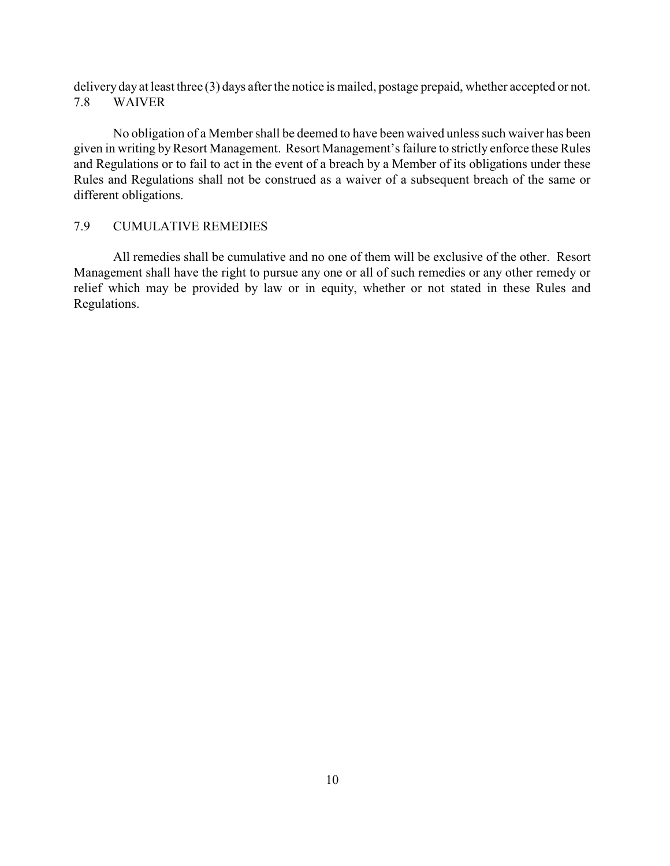deliveryday at least three (3) days after the notice is mailed, postage prepaid, whether accepted or not. 7.8 WAIVER

No obligation of a Member shall be deemed to have been waived unless such waiver has been given in writing by Resort Management. Resort Management's failure to strictly enforce these Rules and Regulations or to fail to act in the event of a breach by a Member of its obligations under these Rules and Regulations shall not be construed as a waiver of a subsequent breach of the same or different obligations.

### 7.9 CUMULATIVE REMEDIES

All remedies shall be cumulative and no one of them will be exclusive of the other. Resort Management shall have the right to pursue any one or all of such remedies or any other remedy or relief which may be provided by law or in equity, whether or not stated in these Rules and Regulations.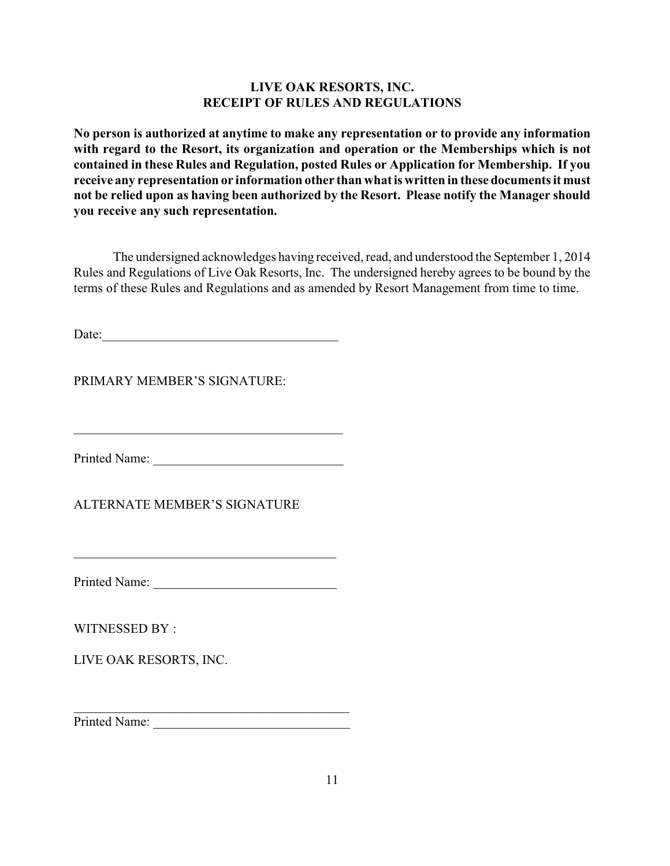### **LIVE OAK RESORTS, INC. RECEIPT OF RULES AND REGULATIONS**

**No person is authorized at anytime to make any representation or to provide any information with regard to the Resort, its organization and operation or the Memberships which is not contained in these Rules and Regulation, posted Rules or Application for Membership. If you receive any representation or information other than what is written in these documents it must not be relied upon as having been authorized by the Resort. Please notify the Manager should you receive any such representation.**

The undersigned acknowledges having received, read, and understood the September 1, 2014 Rules and Regulations of Live Oak Resorts, Inc. The undersigned hereby agrees to be bound by the terms of these Rules and Regulations and as amended by Resort Management from time to time.

Date:

PRIMARY MEMBER'S SIGNATURE:

Printed Name: \_\_\_\_\_\_\_\_\_\_\_\_\_\_\_\_\_\_\_\_\_\_\_\_\_\_\_\_\_

 $\mathcal{L}_\text{max}$  and  $\mathcal{L}_\text{max}$  and  $\mathcal{L}_\text{max}$ 

ALTERNATE MEMBER'S SIGNATURE

Printed Name: \_\_\_\_\_\_\_\_\_\_\_\_\_\_\_\_\_\_\_\_\_\_\_\_\_\_\_\_

\_\_\_\_\_\_\_\_\_\_\_\_\_\_\_\_\_\_\_\_\_\_\_\_\_\_\_\_\_\_\_\_\_\_\_\_\_\_\_\_

WITNESSED BY :

LIVE OAK RESORTS, INC.

Printed Name:

\_\_\_\_\_\_\_\_\_\_\_\_\_\_\_\_\_\_\_\_\_\_\_\_\_\_\_\_\_\_\_\_\_\_\_\_\_\_\_\_\_\_